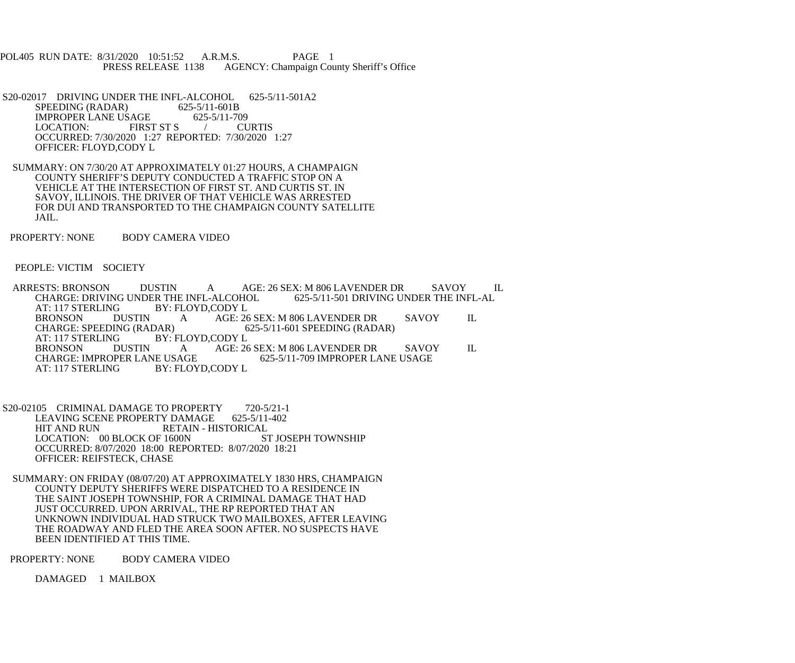POL405 RUN DATE: 8/31/2020 10:51:52 A.R.M.S. PAGE 1<br>PRESS RELEASE 1138 AGENCY: Champaign Cou AGENCY: Champaign County Sheriff's Office

S20-02017 DRIVING UNDER THE INFL-ALCOHOL 625-5/11-501A2<br>SPEEDING (RADAR) 625-5/11-601B SPEEDING (RADAR) IMPROPER LANE USAGE 625-5/11-709<br>LOCATION: FIRST ST S / CURTIS LOCATION: FIRST ST S OCCURRED: 7/30/2020 1:27 REPORTED: 7/30/2020 1:27 OFFICER: FLOYD,CODY L

- SUMMARY: ON 7/30/20 AT APPROXIMATELY 01:27 HOURS, A CHAMPAIGN COUNTY SHERIFF'S DEPUTY CONDUCTED A TRAFFIC STOP ON A VEHICLE AT THE INTERSECTION OF FIRST ST. AND CURTIS ST. IN SAVOY, ILLINOIS. THE DRIVER OF THAT VEHICLE WAS ARRESTED FOR DUI AND TRANSPORTED TO THE CHAMPAIGN COUNTY SATELLITE JAIL.
- PROPERTY: NONE BODY CAMERA VIDEO

PEOPLE: VICTIM SOCIETY

ARRESTS: BRONSON DUSTIN A AGE: 26 SEX: M 806 LAVENDER DR SAVOY IL<br>CHARGE: DRIVING UNDER THE INFL-ALCOHOL 625-5/11-501 DRIVING UNDER THE INFL-AL CHARGE: DRIVING UNDER THE INFL-ALCOHOL<br>AT: 117 STERLING BY: FLOYD.CODY L AT: 117 STERLING BY: FLOYD,CODY L<br>BRONSON DUSTIN A AGE: 26 BRONSON DUSTIN A AGE: 26 SEX: M 806 LAVENDER DR SAVOY IL<br>CHARGE: SPEEDING (RADAR) 625-5/11-601 SPEEDING (RADAR) 625-5/11-601 SPEEDING (RADAR) AT: 117 STERLING BY: FLOYD,CODY L<br>BRONSON DUSTIN A AGE: 26 BRONSON DUSTIN A AGE: 26 SEX: M 806 LAVENDER DR SAVOY IL CHARGE: IMPROPER LANE USAGE 625-5/11-709 IMPROPER LANE USAGE CHARGE: IMPROPER LANE USAGE 625-5/11-709 IMPROPER LANE USAGE<br>AT: 117 STERLING BY: FLOYD,CODY L BY: FLOYD,CODY L

S20-02105 CRIMINAL DAMAGE TO PROPERTY 720-5/21-1<br>LEAVING SCENE PROPERTY DAMAGE 625-5/11-402 LEAVING SCENE PROPERTY DAMAGE 625-5/11-402 RETAIN - HISTORICAL<br>1600N ST JOSEPH TOWNSHIP LOCATION: 00 BLOCK OF 1600N OCCURRED: 8/07/2020 18:00 REPORTED: 8/07/2020 18:21 OFFICER: REIFSTECK, CHASE

 SUMMARY: ON FRIDAY (08/07/20) AT APPROXIMATELY 1830 HRS, CHAMPAIGN COUNTY DEPUTY SHERIFFS WERE DISPATCHED TO A RESIDENCE IN THE SAINT JOSEPH TOWNSHIP, FOR A CRIMINAL DAMAGE THAT HAD JUST OCCURRED. UPON ARRIVAL, THE RP REPORTED THAT AN UNKNOWN INDIVIDUAL HAD STRUCK TWO MAILBOXES, AFTER LEAVING THE ROADWAY AND FLED THE AREA SOON AFTER. NO SUSPECTS HAVE BEEN IDENTIFIED AT THIS TIME.

PROPERTY: NONE BODY CAMERA VIDEO

DAMAGED 1 MAILBOX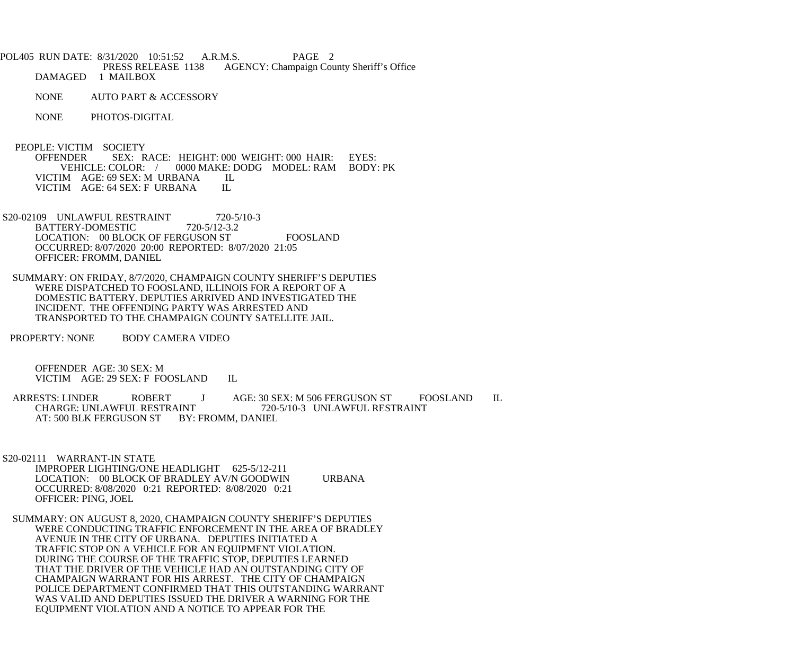- POL405 RUN DATE: 8/31/2020 10:51:52 A.R.M.S. PAGE 2<br>PRESS RELEASE 1138 AGENCY: Champaign Cou AGENCY: Champaign County Sheriff's Office DAMAGED 1 MAILBOX
	- NONE AUTO PART & ACCESSORY
	- NONE PHOTOS-DIGITAL
	- PEOPLE: VICTIM SOCIETY<br>OFFENDER SEX: R SEX: RACE: HEIGHT: 000 WEIGHT: 000 HAIR: EYES: VEHICLE: COLOR: / 0000 MAKE: DODG MODEL: RAM BODY: PK VICTIM AGE: 69 SEX: M URBANA IL<br>VICTIM AGE: 64 SEX: F URBANA IL VICTIM AGE: 64 SEX: F URBANA
- S20-02109 UNLAWFUL RESTRAINT 720-5/10-3<br>BATTERY-DOMESTIC 720-5/12-3.2 BATTERY-DOMESTIC LOCATION: 00 BLOCK OF FERGUSON ST FOOSLAND OCCURRED: 8/07/2020 20:00 REPORTED: 8/07/2020 21:05 OFFICER: FROMM, DANIEL
- SUMMARY: ON FRIDAY, 8/7/2020, CHAMPAIGN COUNTY SHERIFF'S DEPUTIES WERE DISPATCHED TO FOOSLAND, ILLINOIS FOR A REPORT OF A DOMESTIC BATTERY. DEPUTIES ARRIVED AND INVESTIGATED THE INCIDENT. THE OFFENDING PARTY WAS ARRESTED AND TRANSPORTED TO THE CHAMPAIGN COUNTY SATELLITE JAIL.
- PROPERTY: NONE BODY CAMERA VIDEO

 OFFENDER AGE: 30 SEX: M VICTIM AGE: 29 SEX: F FOOSLAND IL

ARRESTS: LINDER ROBERT J AGE: 30 SEX: M 506 FERGUSON ST FOOSLAND IL CHARGE: UNLAWFUL RESTRAINT 720-5/10-3 UNLAWFUL RESTRAINT AT: 500 BLK FERGUSON ST BY: FROMM, DANIEL

S20-02111 WARRANT-IN STATE

- IMPROPER LIGHTING/ONE HEADLIGHT 625-5/12-211 LOCATION: 00 BLOCK OF BRADLEY AV/N GOODWIN URBANA OCCURRED: 8/08/2020 0:21 REPORTED: 8/08/2020 0:21 OFFICER: PING, JOEL
- SUMMARY: ON AUGUST 8, 2020, CHAMPAIGN COUNTY SHERIFF'S DEPUTIES WERE CONDUCTING TRAFFIC ENFORCEMENT IN THE AREA OF BRADLEY AVENUE IN THE CITY OF URBANA. DEPUTIES INITIATED A TRAFFIC STOP ON A VEHICLE FOR AN EQUIPMENT VIOLATION. DURING THE COURSE OF THE TRAFFIC STOP, DEPUTIES LEARNED THAT THE DRIVER OF THE VEHICLE HAD AN OUTSTANDING CITY OF CHAMPAIGN WARRANT FOR HIS ARREST. THE CITY OF CHAMPAIGN POLICE DEPARTMENT CONFIRMED THAT THIS OUTSTANDING WARRANT WAS VALID AND DEPUTIES ISSUED THE DRIVER A WARNING FOR THE EQUIPMENT VIOLATION AND A NOTICE TO APPEAR FOR THE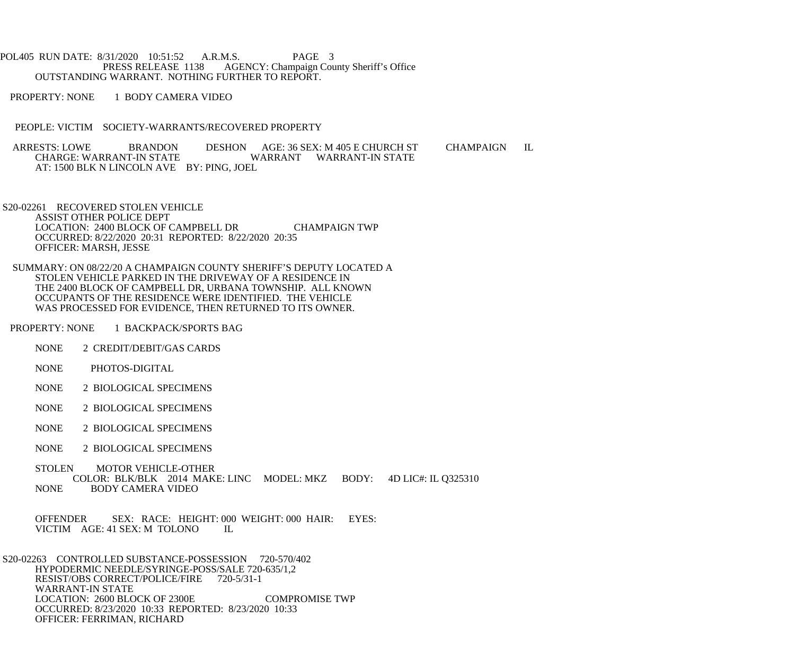POL405 RUN DATE: 8/31/2020 10:51:52 A.R.M.S. PAGE 3<br>PRESS RELEASE 1138 AGENCY: Champaign Cou AGENCY: Champaign County Sheriff's Office OUTSTANDING WARRANT. NOTHING FURTHER TO REPORT.

PROPERTY: NONE 1 BODY CAMERA VIDEO

PEOPLE: VICTIM SOCIETY-WARRANTS/RECOVERED PROPERTY

ARRESTS: LOWE BRANDON DESHON AGE: 36 SEX: M 405 E CHURCH ST CHAMPAIGN IL<br>CHARGE: WARRANT-IN STATE WARRANT WARRANT-IN STATE WARRANT WARRANT-IN STATE AT: 1500 BLK N LINCOLN AVE BY: PING, JOEL

 S20-02261 RECOVERED STOLEN VEHICLE ASSIST OTHER POLICE DEPT LOCATION: 2400 BLOCK OF CAMPBELL DR CHAMPAIGN TWP OCCURRED: 8/22/2020 20:31 REPORTED: 8/22/2020 20:35 OFFICER: MARSH, JESSE

 SUMMARY: ON 08/22/20 A CHAMPAIGN COUNTY SHERIFF'S DEPUTY LOCATED A STOLEN VEHICLE PARKED IN THE DRIVEWAY OF A RESIDENCE IN THE 2400 BLOCK OF CAMPBELL DR, URBANA TOWNSHIP. ALL KNOWN OCCUPANTS OF THE RESIDENCE WERE IDENTIFIED. THE VEHICLE WAS PROCESSED FOR EVIDENCE, THEN RETURNED TO ITS OWNER.

PROPERTY: NONE 1 BACKPACK/SPORTS BAG

- NONE 2 CREDIT/DEBIT/GAS CARDS
- NONE PHOTOS-DIGITAL
- NONE 2 BIOLOGICAL SPECIMENS
- NONE 2 BIOLOGICAL SPECIMENS
- NONE 2 BIOLOGICAL SPECIMENS
- NONE 2 BIOLOGICAL SPECIMENS
- STOLEN MOTOR VEHICLE-OTHER COLOR: BLK/BLK 2014 MAKE: LINC MODEL: MKZ BODY: 4D LIC#: IL Q325310 **BODY CAMERA VIDEO**

OFFENDER SEX: RACE: HEIGHT: 000 WEIGHT: 000 HAIR: EYES: VICTIM AGE: 41 SEX: M TOLONO IL VICTIM AGE: 41 SEX: M TOLONO

 S20-02263 CONTROLLED SUBSTANCE-POSSESSION 720-570/402 HYPODERMIC NEEDLE/SYRINGE-POSS/SALE 720-635/1,2 RESIST/OBS CORRECT/POLICE/FIRE 720-5/31-1 WARRANT-IN STATE LOCATION: 2600 BLOCK OF 2300E COMPROMISE TWP OCCURRED: 8/23/2020 10:33 REPORTED: 8/23/2020 10:33 OFFICER: FERRIMAN, RICHARD